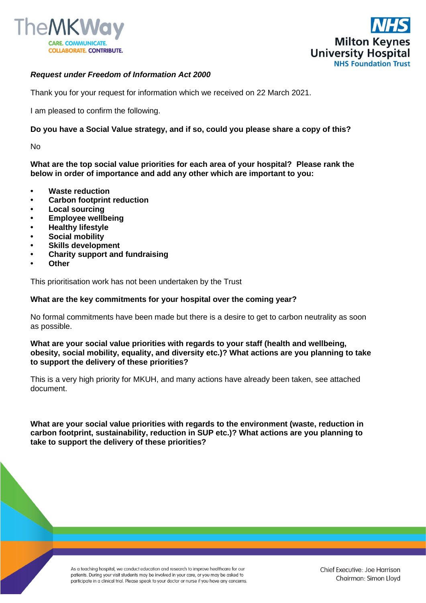



## *Request under Freedom of Information Act 2000*

Thank you for your request for information which we received on 22 March 2021.

I am pleased to confirm the following.

## **Do you have a Social Value strategy, and if so, could you please share a copy of this?**

No

**What are the top social value priorities for each area of your hospital? Please rank the below in order of importance and add any other which are important to you:**

- **Waste reduction**
- **Carbon footprint reduction**
- **Local sourcing**
- **Employee wellbeing**
- **Healthy lifestyle**
- **Social mobility**
- **Skills development**
- **Charity support and fundraising**
- **Other**

This prioritisation work has not been undertaken by the Trust

## **What are the key commitments for your hospital over the coming year?**

No formal commitments have been made but there is a desire to get to carbon neutrality as soon as possible.

**What are your social value priorities with regards to your staff (health and wellbeing, obesity, social mobility, equality, and diversity etc.)? What actions are you planning to take to support the delivery of these priorities?** 

This is a very high priority for MKUH, and many actions have already been taken, see attached document.

**What are your social value priorities with regards to the environment (waste, reduction in carbon footprint, sustainability, reduction in SUP etc.)? What actions are you planning to take to support the delivery of these priorities?** 

> As a teaching hospital, we conduct education and research to improve healthcare for our patients. During your visit students may be involved in your care, or you may be asked to participate in a clinical trial. Please speak to your doctor or nurse if you have any concerns.